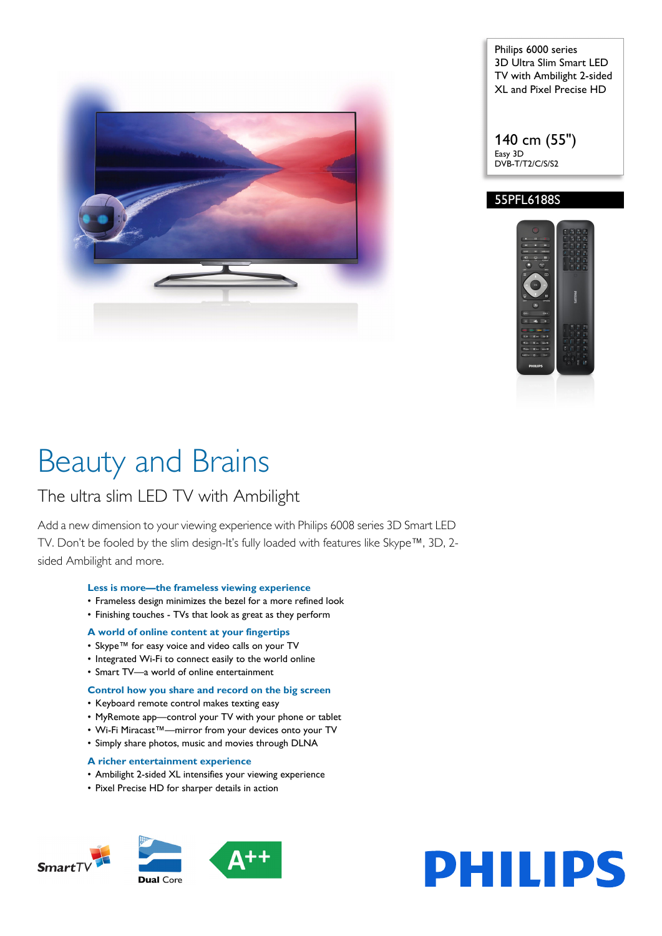

Philips 6000 series 3D Ultra Slim Smart LED TV with Ambilight 2-sided XL and Pixel Precise HD

140 cm (55") Easy 3D DVB-T/T2/C/S/S2

## 55PFL6188S



# Beauty and Brains

## The ultra slim LED TV with Ambilight

Add a new dimension to your viewing experience with Philips 6008 series 3D Smart LED TV. Don't be fooled by the slim design-It's fully loaded with features like Skype™, 3D, 2 sided Ambilight and more.

#### **Less is more—the frameless viewing experience**

- Frameless design minimizes the bezel for a more refined look
- Finishing touches TVs that look as great as they perform

#### **A world of online content at your fingertips**

- Skype™ for easy voice and video calls on your TV
- Integrated Wi-Fi to connect easily to the world online
- Smart TV—a world of online entertainment

### **Control how you share and record on the big screen**

- Keyboard remote control makes texting easy
- MyRemote app—control your TV with your phone or tablet
- Wi-Fi Miracast™—mirror from your devices onto your TV
- Simply share photos, music and movies through DLNA

#### **A richer entertainment experience**

- Ambilight 2-sided XL intensifies your viewing experience
- Pixel Precise HD for sharper details in action



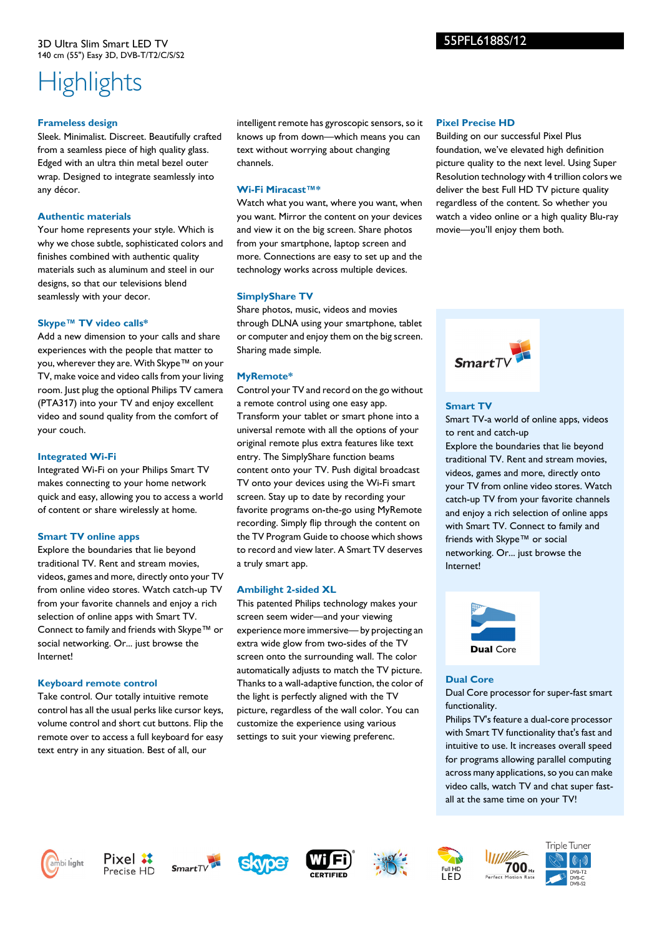## **Highlights**

#### **Frameless design**

Sleek. Minimalist. Discreet. Beautifully crafted from a seamless piece of high quality glass. Edged with an ultra thin metal bezel outer wrap. Designed to integrate seamlessly into any décor.

#### **Authentic materials**

Your home represents your style. Which is why we chose subtle, sophisticated colors and finishes combined with authentic quality materials such as aluminum and steel in our designs, so that our televisions blend seamlessly with your decor.

## **Skype™ TV video calls\***

Add a new dimension to your calls and share experiences with the people that matter to you, wherever they are. With Skype™ on your TV, make voice and video calls from your living room. Just plug the optional Philips TV camera (PTA317) into your TV and enjoy excellent video and sound quality from the comfort of your couch.

## **Integrated Wi-Fi**

Integrated Wi-Fi on your Philips Smart TV makes connecting to your home network quick and easy, allowing you to access a world of content or share wirelessly at home.

## **Smart TV online apps**

Explore the boundaries that lie beyond traditional TV. Rent and stream movies, videos, games and more, directly onto your TV from online video stores. Watch catch-up TV from your favorite channels and enjoy a rich selection of online apps with Smart TV. Connect to family and friends with Skype™ or social networking. Or... just browse the Internet!

## **Keyboard remote control**

Take control. Our totally intuitive remote control has all the usual perks like cursor keys, volume control and short cut buttons. Flip the remote over to access a full keyboard for easy text entry in any situation. Best of all, our

intelligent remote has gyroscopic sensors, so it knows up from down—which means you can text without worrying about changing channels.

## **Wi-Fi Miracast™\***

Watch what you want, where you want, when you want. Mirror the content on your devices and view it on the big screen. Share photos from your smartphone, laptop screen and more. Connections are easy to set up and the technology works across multiple devices.

## **SimplyShare TV**

Share photos, music, videos and movies through DLNA using your smartphone, tablet or computer and enjoy them on the big screen. Sharing made simple.

## **MyRemote\***

Control your TV and record on the go without a remote control using one easy app. Transform your tablet or smart phone into a universal remote with all the options of your original remote plus extra features like text entry. The SimplyShare function beams content onto your TV. Push digital broadcast TV onto your devices using the Wi-Fi smart screen. Stay up to date by recording your favorite programs on-the-go using MyRemote recording. Simply flip through the content on the TV Program Guide to choose which shows to record and view later. A Smart TV deserves a truly smart app.

## **Ambilight 2-sided XL**

This patented Philips technology makes your screen seem wider—and your viewing experience more immersive— by projecting an extra wide glow from two-sides of the TV screen onto the surrounding wall. The color automatically adjusts to match the TV picture. Thanks to a wall-adaptive function, the color of the light is perfectly aligned with the TV picture, regardless of the wall color. You can customize the experience using various settings to suit your viewing preferenc.

### **Pixel Precise HD**

Building on our successful Pixel Plus foundation, we've elevated high definition picture quality to the next level. Using Super Resolution technology with 4 trillion colors we deliver the best Full HD TV picture quality regardless of the content. So whether you watch a video online or a high quality Blu-ray movie—you'll enjoy them both.



## **Smart TV**

Smart TV-a world of online apps, videos to rent and catch-up Explore the boundaries that lie beyond traditional TV. Rent and stream movies, videos, games and more, directly onto your TV from online video stores. Watch catch-up TV from your favorite channels and enjoy a rich selection of online apps with Smart TV. Connect to family and friends with Skype™ or social networking. Or... just browse the Internet!



#### **Dual Core**

Dual Core processor for super-fast smart functionality.

Philips TV's feature a dual-core processor with Smart TV functionality that's fast and intuitive to use. It increases overall speed for programs allowing parallel computing across many applications, so you can make video calls, watch TV and chat super fastall at the same time on your TV!